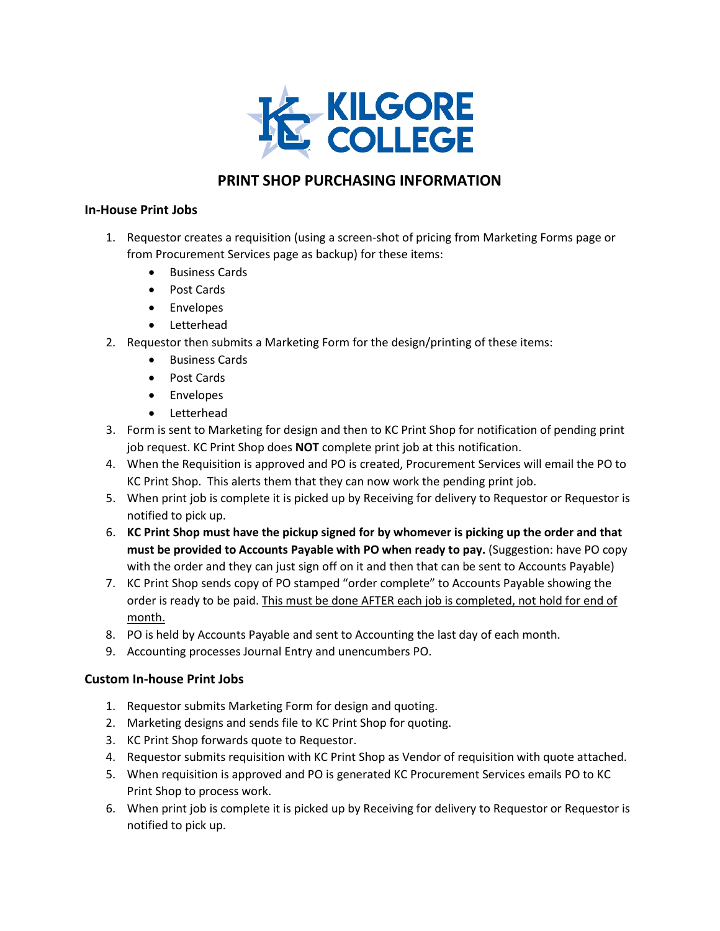

# **PRINT SHOP PURCHASING INFORMATION**

### **In-House Print Jobs**

- 1. Requestor creates a requisition (using a screen-shot of pricing from Marketing Forms page or from Procurement Services page as backup) for these items:
	- Business Cards
	- Post Cards
	- Envelopes
	- Letterhead
- 2. Requestor then submits a Marketing Form for the design/printing of these items:
	- Business Cards
	- Post Cards
	- Envelopes
	- Letterhead
- 3. Form is sent to Marketing for design and then to KC Print Shop for notification of pending print job request. KC Print Shop does **NOT** complete print job at this notification.
- 4. When the Requisition is approved and PO is created, Procurement Services will email the PO to KC Print Shop. This alerts them that they can now work the pending print job.
- 5. When print job is complete it is picked up by Receiving for delivery to Requestor or Requestor is notified to pick up.
- 6. **KC Print Shop must have the pickup signed for by whomever is picking up the order and that must be provided to Accounts Payable with PO when ready to pay.** (Suggestion: have PO copy with the order and they can just sign off on it and then that can be sent to Accounts Payable)
- 7. KC Print Shop sends copy of PO stamped "order complete" to Accounts Payable showing the order is ready to be paid. This must be done AFTER each job is completed, not hold for end of month.
- 8. PO is held by Accounts Payable and sent to Accounting the last day of each month.
- 9. Accounting processes Journal Entry and unencumbers PO.

# **Custom In-house Print Jobs**

- 1. Requestor submits Marketing Form for design and quoting.
- 2. Marketing designs and sends file to KC Print Shop for quoting.
- 3. KC Print Shop forwards quote to Requestor.
- 4. Requestor submits requisition with KC Print Shop as Vendor of requisition with quote attached.
- 5. When requisition is approved and PO is generated KC Procurement Services emails PO to KC Print Shop to process work.
- 6. When print job is complete it is picked up by Receiving for delivery to Requestor or Requestor is notified to pick up.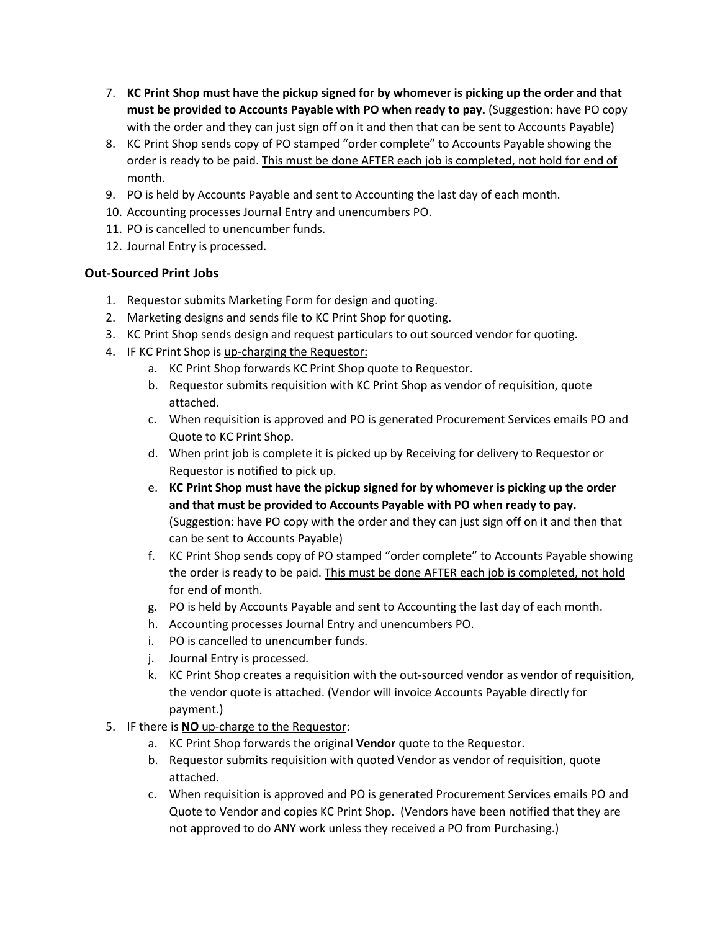- 7. **KC Print Shop must have the pickup signed for by whomever is picking up the order and that must be provided to Accounts Payable with PO when ready to pay.** (Suggestion: have PO copy with the order and they can just sign off on it and then that can be sent to Accounts Payable)
- 8. KC Print Shop sends copy of PO stamped "order complete" to Accounts Payable showing the order is ready to be paid. This must be done AFTER each job is completed, not hold for end of month.
- 9. PO is held by Accounts Payable and sent to Accounting the last day of each month.
- 10. Accounting processes Journal Entry and unencumbers PO.
- 11. PO is cancelled to unencumber funds.
- 12. Journal Entry is processed.

# **Out-Sourced Print Jobs**

- 1. Requestor submits Marketing Form for design and quoting.
- 2. Marketing designs and sends file to KC Print Shop for quoting.
- 3. KC Print Shop sends design and request particulars to out sourced vendor for quoting.
- 4. IF KC Print Shop is up-charging the Requestor:
	- a. KC Print Shop forwards KC Print Shop quote to Requestor.
	- b. Requestor submits requisition with KC Print Shop as vendor of requisition, quote attached.
	- c. When requisition is approved and PO is generated Procurement Services emails PO and Quote to KC Print Shop.
	- d. When print job is complete it is picked up by Receiving for delivery to Requestor or Requestor is notified to pick up.
	- e. **KC Print Shop must have the pickup signed for by whomever is picking up the order and that must be provided to Accounts Payable with PO when ready to pay.** (Suggestion: have PO copy with the order and they can just sign off on it and then that can be sent to Accounts Payable)
	- f. KC Print Shop sends copy of PO stamped "order complete" to Accounts Payable showing the order is ready to be paid. This must be done AFTER each job is completed, not hold for end of month.
	- g. PO is held by Accounts Payable and sent to Accounting the last day of each month.
	- h. Accounting processes Journal Entry and unencumbers PO.
	- i. PO is cancelled to unencumber funds.
	- j. Journal Entry is processed.
	- k. KC Print Shop creates a requisition with the out-sourced vendor as vendor of requisition, the vendor quote is attached. (Vendor will invoice Accounts Payable directly for payment.)
- 5. IF there is **NO** up-charge to the Requestor:
	- a. KC Print Shop forwards the original **Vendor** quote to the Requestor.
	- b. Requestor submits requisition with quoted Vendor as vendor of requisition, quote attached.
	- c. When requisition is approved and PO is generated Procurement Services emails PO and Quote to Vendor and copies KC Print Shop. (Vendors have been notified that they are not approved to do ANY work unless they received a PO from Purchasing.)